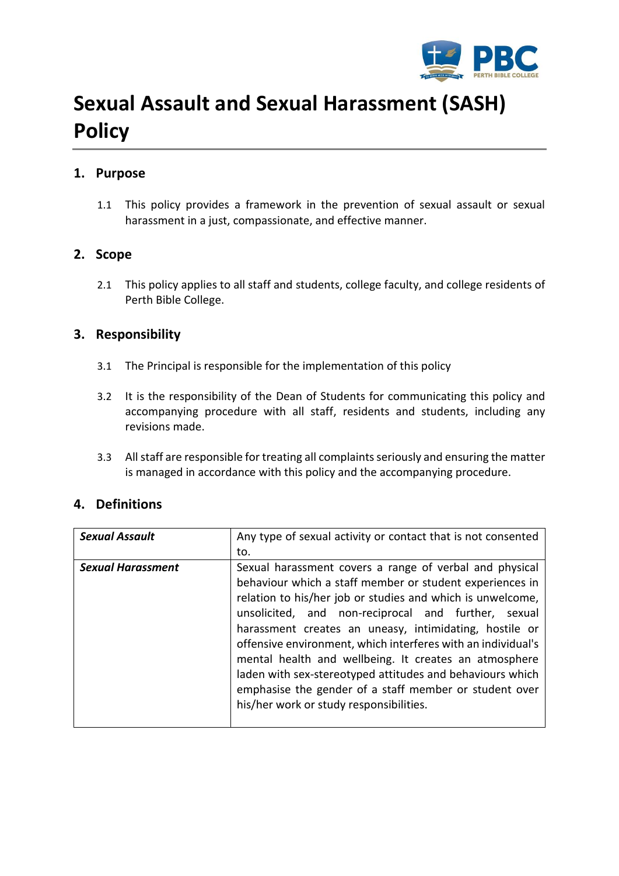

# **Sexual Assault and Sexual Harassment (SASH) Policy**

## **1. Purpose**

1.1 This policy provides a framework in the prevention of sexual assault or sexual harassment in a just, compassionate, and effective manner.

#### **2. Scope**

2.1 This policy applies to all staff and students, college faculty, and college residents of Perth Bible College.

### **3. Responsibility**

- 3.1 The Principal is responsible for the implementation of this policy
- 3.2 It is the responsibility of the Dean of Students for communicating this policy and accompanying procedure with all staff, residents and students, including any revisions made.
- 3.3 All staff are responsible for treating all complaints seriously and ensuring the matter is managed in accordance with this policy and the accompanying procedure.

### **4. Definitions**

| <b>Sexual Assault</b>    | Any type of sexual activity or contact that is not consented                                                           |  |  |  |
|--------------------------|------------------------------------------------------------------------------------------------------------------------|--|--|--|
|                          | to.                                                                                                                    |  |  |  |
| <b>Sexual Harassment</b> | Sexual harassment covers a range of verbal and physical                                                                |  |  |  |
|                          | behaviour which a staff member or student experiences in<br>relation to his/her job or studies and which is unwelcome, |  |  |  |
|                          |                                                                                                                        |  |  |  |
|                          | unsolicited, and non-reciprocal and further, sexual                                                                    |  |  |  |
|                          | harassment creates an uneasy, intimidating, hostile or                                                                 |  |  |  |
|                          | offensive environment, which interferes with an individual's                                                           |  |  |  |
|                          | mental health and wellbeing. It creates an atmosphere                                                                  |  |  |  |
|                          | laden with sex-stereotyped attitudes and behaviours which                                                              |  |  |  |
|                          | emphasise the gender of a staff member or student over                                                                 |  |  |  |
|                          | his/her work or study responsibilities.                                                                                |  |  |  |
|                          |                                                                                                                        |  |  |  |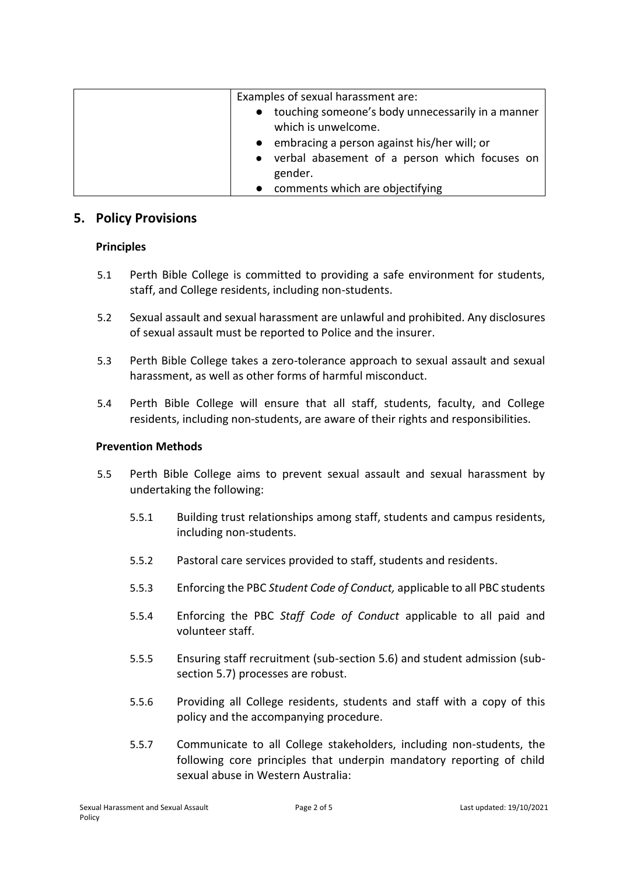| Examples of sexual harassment are:<br>• touching someone's body unnecessarily in a manner<br>which is unwelcome.<br>• embracing a person against his/her will; or<br>• verbal abasement of a person which focuses on |
|----------------------------------------------------------------------------------------------------------------------------------------------------------------------------------------------------------------------|
| gender.                                                                                                                                                                                                              |
| • comments which are objectifying                                                                                                                                                                                    |

#### **5. Policy Provisions**

#### **Principles**

- 5.1 Perth Bible College is committed to providing a safe environment for students, staff, and College residents, including non-students.
- 5.2 Sexual assault and sexual harassment are unlawful and prohibited. Any disclosures of sexual assault must be reported to Police and the insurer.
- 5.3 Perth Bible College takes a zero-tolerance approach to sexual assault and sexual harassment, as well as other forms of harmful misconduct.
- 5.4 Perth Bible College will ensure that all staff, students, faculty, and College residents, including non-students, are aware of their rights and responsibilities.

#### **Prevention Methods**

- 5.5 Perth Bible College aims to prevent sexual assault and sexual harassment by undertaking the following:
	- 5.5.1 Building trust relationships among staff, students and campus residents, including non-students.
	- 5.5.2 Pastoral care services provided to staff, students and residents.
	- 5.5.3 Enforcing the PBC *Student Code of Conduct,* applicable to all PBC students
	- 5.5.4 Enforcing the PBC *Staff Code of Conduct* applicable to all paid and volunteer staff.
	- 5.5.5 Ensuring staff recruitment (sub-section 5.6) and student admission (subsection 5.7) processes are robust.
	- 5.5.6 Providing all College residents, students and staff with a copy of this policy and the accompanying procedure.
	- 5.5.7 Communicate to all College stakeholders, including non-students, the following core principles that underpin mandatory reporting of child sexual abuse in Western Australia: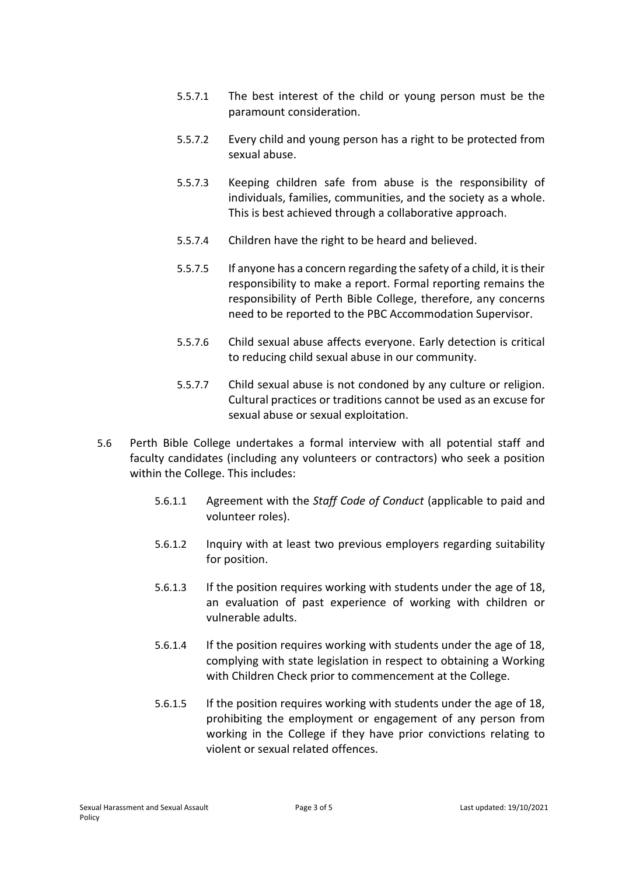- 5.5.7.1 The best interest of the child or young person must be the paramount consideration.
- 5.5.7.2 Every child and young person has a right to be protected from sexual abuse.
- 5.5.7.3 Keeping children safe from abuse is the responsibility of individuals, families, communities, and the society as a whole. This is best achieved through a collaborative approach.
- 5.5.7.4 Children have the right to be heard and believed.
- 5.5.7.5 If anyone has a concern regarding the safety of a child, it is their responsibility to make a report. Formal reporting remains the responsibility of Perth Bible College, therefore, any concerns need to be reported to the PBC Accommodation Supervisor.
- 5.5.7.6 Child sexual abuse affects everyone. Early detection is critical to reducing child sexual abuse in our community.
- 5.5.7.7 Child sexual abuse is not condoned by any culture or religion. Cultural practices or traditions cannot be used as an excuse for sexual abuse or sexual exploitation.
- 5.6 Perth Bible College undertakes a formal interview with all potential staff and faculty candidates (including any volunteers or contractors) who seek a position within the College. This includes:
	- 5.6.1.1 Agreement with the *Staff Code of Conduct* (applicable to paid and volunteer roles).
	- 5.6.1.2 Inquiry with at least two previous employers regarding suitability for position.
	- 5.6.1.3 If the position requires working with students under the age of 18, an evaluation of past experience of working with children or vulnerable adults.
	- 5.6.1.4 If the position requires working with students under the age of 18, complying with state legislation in respect to obtaining a Working with Children Check prior to commencement at the College.
	- 5.6.1.5 If the position requires working with students under the age of 18, prohibiting the employment or engagement of any person from working in the College if they have prior convictions relating to violent or sexual related offences.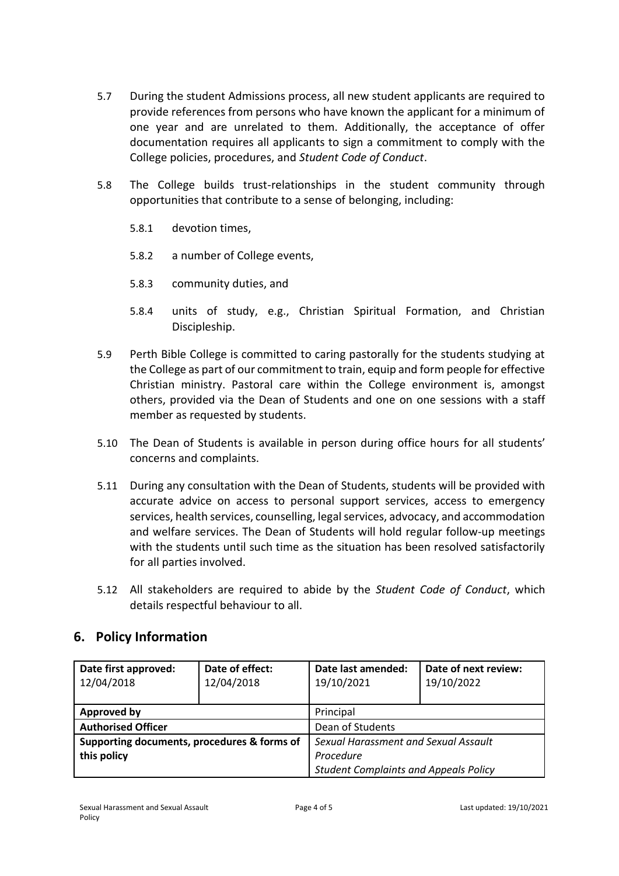- 5.7 During the student Admissions process, all new student applicants are required to provide references from persons who have known the applicant for a minimum of one year and are unrelated to them. Additionally, the acceptance of offer documentation requires all applicants to sign a commitment to comply with the College policies, procedures, and *Student Code of Conduct*.
- 5.8 The College builds trust-relationships in the student community through opportunities that contribute to a sense of belonging, including:
	- 5.8.1 devotion times,
	- 5.8.2 a number of College events,
	- 5.8.3 community duties, and
	- 5.8.4 units of study, e.g., Christian Spiritual Formation, and Christian Discipleship.
- 5.9 Perth Bible College is committed to caring pastorally for the students studying at the College as part of our commitment to train, equip and form people for effective Christian ministry. Pastoral care within the College environment is, amongst others, provided via the Dean of Students and one on one sessions with a staff member as requested by students.
- 5.10 The Dean of Students is available in person during office hours for all students' concerns and complaints.
- 5.11 During any consultation with the Dean of Students, students will be provided with accurate advice on access to personal support services, access to emergency services, health services, counselling, legal services, advocacy, and accommodation and welfare services. The Dean of Students will hold regular follow-up meetings with the students until such time as the situation has been resolved satisfactorily for all parties involved.
- 5.12 All stakeholders are required to abide by the *Student Code of Conduct*, which details respectful behaviour to all.

### **6. Policy Information**

| Date first approved:<br>12/04/2018          | Date of effect:<br>12/04/2018 | Date last amended:<br>19/10/2021             | Date of next review:<br>19/10/2022 |
|---------------------------------------------|-------------------------------|----------------------------------------------|------------------------------------|
| <b>Approved by</b>                          |                               | Principal                                    |                                    |
| <b>Authorised Officer</b>                   |                               | Dean of Students                             |                                    |
| Supporting documents, procedures & forms of |                               | Sexual Harassment and Sexual Assault         |                                    |
| this policy                                 |                               | Procedure                                    |                                    |
|                                             |                               | <b>Student Complaints and Appeals Policy</b> |                                    |